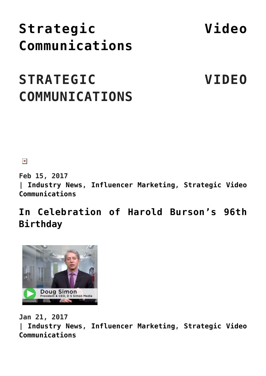# **[Strategic Video](https://www.commpro.biz/strategic-video-communications-channel/) [Communications](https://www.commpro.biz/strategic-video-communications-channel/)**

# **STRATEGIC VIDEO COMMUNICATIONS**

 $\pmb{\times}$ 

**Feb 15, 2017 | [Industry News,](https://www.commpro.biz/./industry-news/) [Influencer Marketing](https://www.commpro.biz/./influencer-marketing/), [Strategic Video](https://www.commpro.biz/./strategic-video-communications-channel/) [Communications](https://www.commpro.biz/./strategic-video-communications-channel/)**

**[In Celebration of Harold Burson's 96th](https://www.commpro.biz/founding-chairman-burson-marsteller-inducted-pr-news-hall-fame/) [Birthday](https://www.commpro.biz/founding-chairman-burson-marsteller-inducted-pr-news-hall-fame/)**



**Jan 21, 2017 | [Industry News,](https://www.commpro.biz/./industry-news/) [Influencer Marketing](https://www.commpro.biz/./influencer-marketing/), [Strategic Video](https://www.commpro.biz/./strategic-video-communications-channel/) [Communications](https://www.commpro.biz/./strategic-video-communications-channel/)**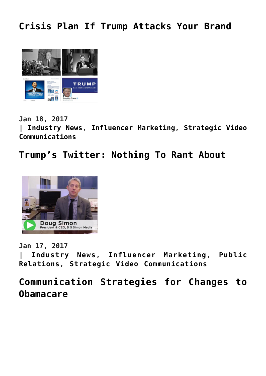## **[Crisis Plan If Trump Attacks Your Brand](https://www.commpro.biz/crisis-plan-if-trump-attacks-your-brand/)**



**Jan 18, 2017 | [Industry News,](https://www.commpro.biz/./industry-news/) [Influencer Marketing](https://www.commpro.biz/./influencer-marketing/), [Strategic Video](https://www.commpro.biz/./strategic-video-communications-channel/) [Communications](https://www.commpro.biz/./strategic-video-communications-channel/)**

**[Trump's Twitter: Nothing To Rant About](https://www.commpro.biz/trumps-twitter-nothing-to-rant-about/)**



**Jan 17, 2017**

**| [Industry News](https://www.commpro.biz/./industry-news/), [Influencer Marketing,](https://www.commpro.biz/./influencer-marketing/) [Public](https://www.commpro.biz/./public-relations/) [Relations,](https://www.commpro.biz/./public-relations/) [Strategic Video Communications](https://www.commpro.biz/./strategic-video-communications-channel/)**

**[Communication Strategies for Changes to](https://www.commpro.biz/communication-strategies-for-changes-to-obamacare/) [Obamacare](https://www.commpro.biz/communication-strategies-for-changes-to-obamacare/)**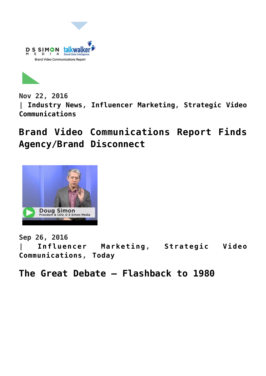



**Nov 22, 2016 | [Industry News,](https://www.commpro.biz/./industry-news/) [Influencer Marketing](https://www.commpro.biz/./influencer-marketing/), [Strategic Video](https://www.commpro.biz/./strategic-video-communications-channel/) [Communications](https://www.commpro.biz/./strategic-video-communications-channel/)**

**[Brand Video Communications Report Finds](https://www.commpro.biz/brand-video-communications-report-finds-agencybrand-disconnect/) [Agency/Brand Disconnect](https://www.commpro.biz/brand-video-communications-report-finds-agencybrand-disconnect/)**



**Sep 26, 2016**

**| [Influencer Marketing](https://www.commpro.biz/./influencer-marketing/), [Strategic Video](https://www.commpro.biz/./strategic-video-communications-channel/) [Communications,](https://www.commpro.biz/./strategic-video-communications-channel/) [Today](https://www.commpro.biz/./today/)**

**[The Great Debate – Flashback to 1980](https://www.commpro.biz/the-great-debate-flashback-to-1980/)**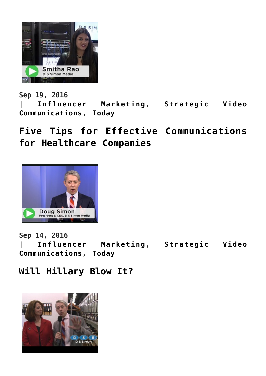

**Sep 19, 2016 | [Influencer Marketing](https://www.commpro.biz/./influencer-marketing/), [Strategic Video](https://www.commpro.biz/./strategic-video-communications-channel/) [Communications,](https://www.commpro.biz/./strategic-video-communications-channel/) [Today](https://www.commpro.biz/./today/)**

**[Five Tips for Effective Communications](https://www.commpro.biz/five-tips-for-effective-communications-for-healthcare-companies/) [for Healthcare Companies](https://www.commpro.biz/five-tips-for-effective-communications-for-healthcare-companies/)**



**Sep 14, 2016**

**| [Influencer Marketing](https://www.commpro.biz/./influencer-marketing/), [Strategic Video](https://www.commpro.biz/./strategic-video-communications-channel/) [Communications,](https://www.commpro.biz/./strategic-video-communications-channel/) [Today](https://www.commpro.biz/./today/)**

### **[Will Hillary Blow It?](https://www.commpro.biz/will-hillary-blow-it/)**

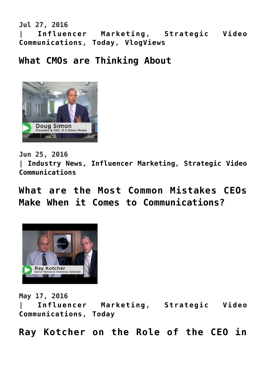**Jul 27, 2016 | [Influencer Marketing](https://www.commpro.biz/./influencer-marketing/), [Strategic Video](https://www.commpro.biz/./strategic-video-communications-channel/) [Communications,](https://www.commpro.biz/./strategic-video-communications-channel/) [Today,](https://www.commpro.biz/./today/) [VlogViews](https://www.commpro.biz/./strategic-video-communications-channel/vlogviews/)**

### **[What CMOs are Thinking About](https://www.commpro.biz/what-cmos-are-thinking-about/)**



**Jun 25, 2016**

**| [Industry News,](https://www.commpro.biz/./industry-news/) [Influencer Marketing](https://www.commpro.biz/./influencer-marketing/), [Strategic Video](https://www.commpro.biz/./strategic-video-communications-channel/) [Communications](https://www.commpro.biz/./strategic-video-communications-channel/)**

**[What are the Most Common Mistakes CEOs](https://www.commpro.biz/what-are-the-most-common-mistakes-ceos-make-when-it-comes-to-communications/) [Make When it Comes to Communications?](https://www.commpro.biz/what-are-the-most-common-mistakes-ceos-make-when-it-comes-to-communications/)**



**May 17, 2016**

**| [Influencer Marketing](https://www.commpro.biz/./influencer-marketing/), [Strategic Video](https://www.commpro.biz/./strategic-video-communications-channel/) [Communications,](https://www.commpro.biz/./strategic-video-communications-channel/) [Today](https://www.commpro.biz/./today/)**

**[Ray Kotcher on the Role of the CEO in](https://www.commpro.biz/communications/)**